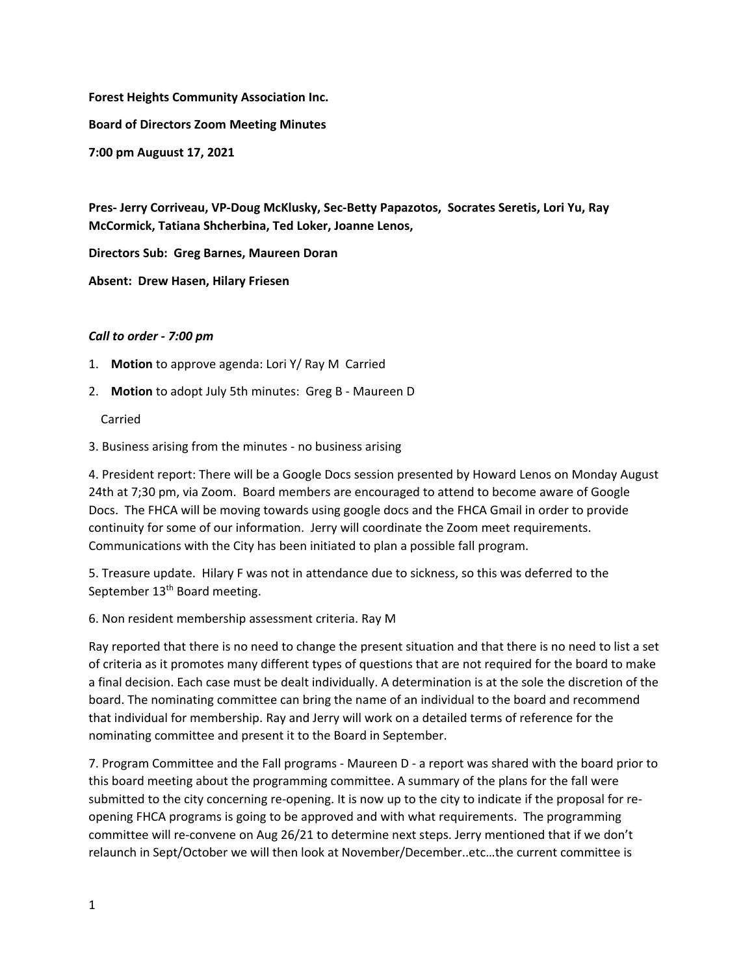**Forest Heights Community Association Inc.**

**Board of Directors Zoom Meeting Minutes**

**7:00 pm Auguust 17, 2021**

**Pres‐ Jerry Corriveau, VP‐Doug McKlusky, Sec‐Betty Papazotos, Socrates Seretis, Lori Yu, Ray McCormick, Tatiana Shcherbina, Ted Loker, Joanne Lenos,** 

**Directors Sub: Greg Barnes, Maureen Doran**

**Absent: Drew Hasen, Hilary Friesen**

## *Call to order ‐ 7:00 pm*

- 1. **Motion** to approve agenda: Lori Y/ Ray M Carried
- 2. **Motion** to adopt July 5th minutes: Greg B Maureen D

Carried

3. Business arising from the minutes ‐ no business arising

4. President report: There will be a Google Docs session presented by Howard Lenos on Monday August 24th at 7;30 pm, via Zoom. Board members are encouraged to attend to become aware of Google Docs. The FHCA will be moving towards using google docs and the FHCA Gmail in order to provide continuity for some of our information. Jerry will coordinate the Zoom meet requirements. Communications with the City has been initiated to plan a possible fall program.

5. Treasure update. Hilary F was not in attendance due to sickness, so this was deferred to the September 13<sup>th</sup> Board meeting.

6. Non resident membership assessment criteria. Ray M

Ray reported that there is no need to change the present situation and that there is no need to list a set of criteria as it promotes many different types of questions that are not required for the board to make a final decision. Each case must be dealt individually. A determination is at the sole the discretion of the board. The nominating committee can bring the name of an individual to the board and recommend that individual for membership. Ray and Jerry will work on a detailed terms of reference for the nominating committee and present it to the Board in September.

7. Program Committee and the Fall programs - Maureen D - a report was shared with the board prior to this board meeting about the programming committee. A summary of the plans for the fall were submitted to the city concerning re-opening. It is now up to the city to indicate if the proposal for reopening FHCA programs is going to be approved and with what requirements. The programming committee will re‐convene on Aug 26/21 to determine next steps. Jerry mentioned that if we don't relaunch in Sept/October we will then look at November/December..etc…the current committee is